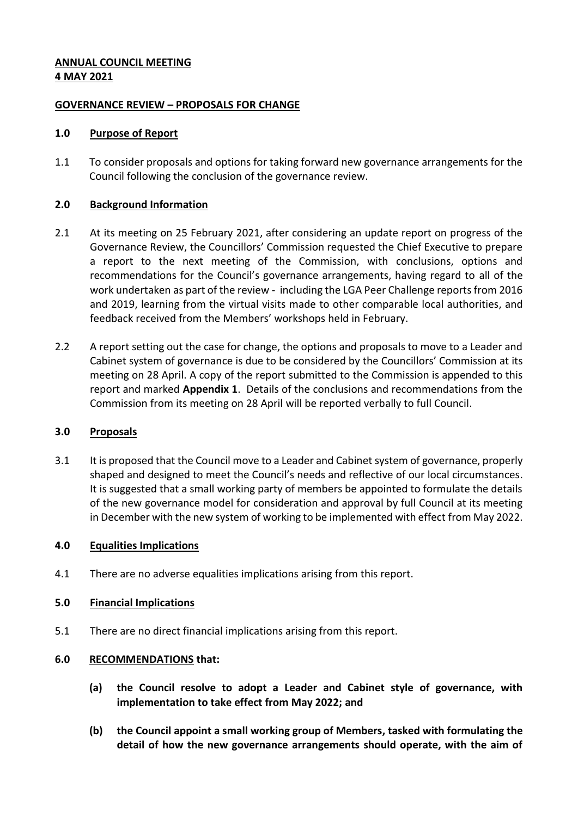## **ANNUAL COUNCIL MEETING 4 MAY 2021**

### **GOVERNANCE REVIEW – PROPOSALS FOR CHANGE**

#### **1.0 Purpose of Report**

1.1 To consider proposals and options for taking forward new governance arrangements for the Council following the conclusion of the governance review.

### **2.0 Background Information**

- 2.1 At its meeting on 25 February 2021, after considering an update report on progress of the Governance Review, the Councillors' Commission requested the Chief Executive to prepare a report to the next meeting of the Commission, with conclusions, options and recommendations for the Council's governance arrangements, having regard to all of the work undertaken as part of the review - including the LGA Peer Challenge reports from 2016 and 2019, learning from the virtual visits made to other comparable local authorities, and feedback received from the Members' workshops held in February.
- 2.2 A report setting out the case for change, the options and proposals to move to a Leader and Cabinet system of governance is due to be considered by the Councillors' Commission at its meeting on 28 April. A copy of the report submitted to the Commission is appended to this report and marked **Appendix 1**. Details of the conclusions and recommendations from the Commission from its meeting on 28 April will be reported verbally to full Council.

### **3.0 Proposals**

3.1 It is proposed that the Council move to a Leader and Cabinet system of governance, properly shaped and designed to meet the Council's needs and reflective of our local circumstances. It is suggested that a small working party of members be appointed to formulate the details of the new governance model for consideration and approval by full Council at its meeting in December with the new system of working to be implemented with effect from May 2022.

### **4.0 Equalities Implications**

4.1 There are no adverse equalities implications arising from this report.

#### **5.0 Financial Implications**

5.1 There are no direct financial implications arising from this report.

### **6.0 RECOMMENDATIONS that:**

- **(a) the Council resolve to adopt a Leader and Cabinet style of governance, with implementation to take effect from May 2022; and**
- **(b) the Council appoint a small working group of Members, tasked with formulating the detail of how the new governance arrangements should operate, with the aim of**